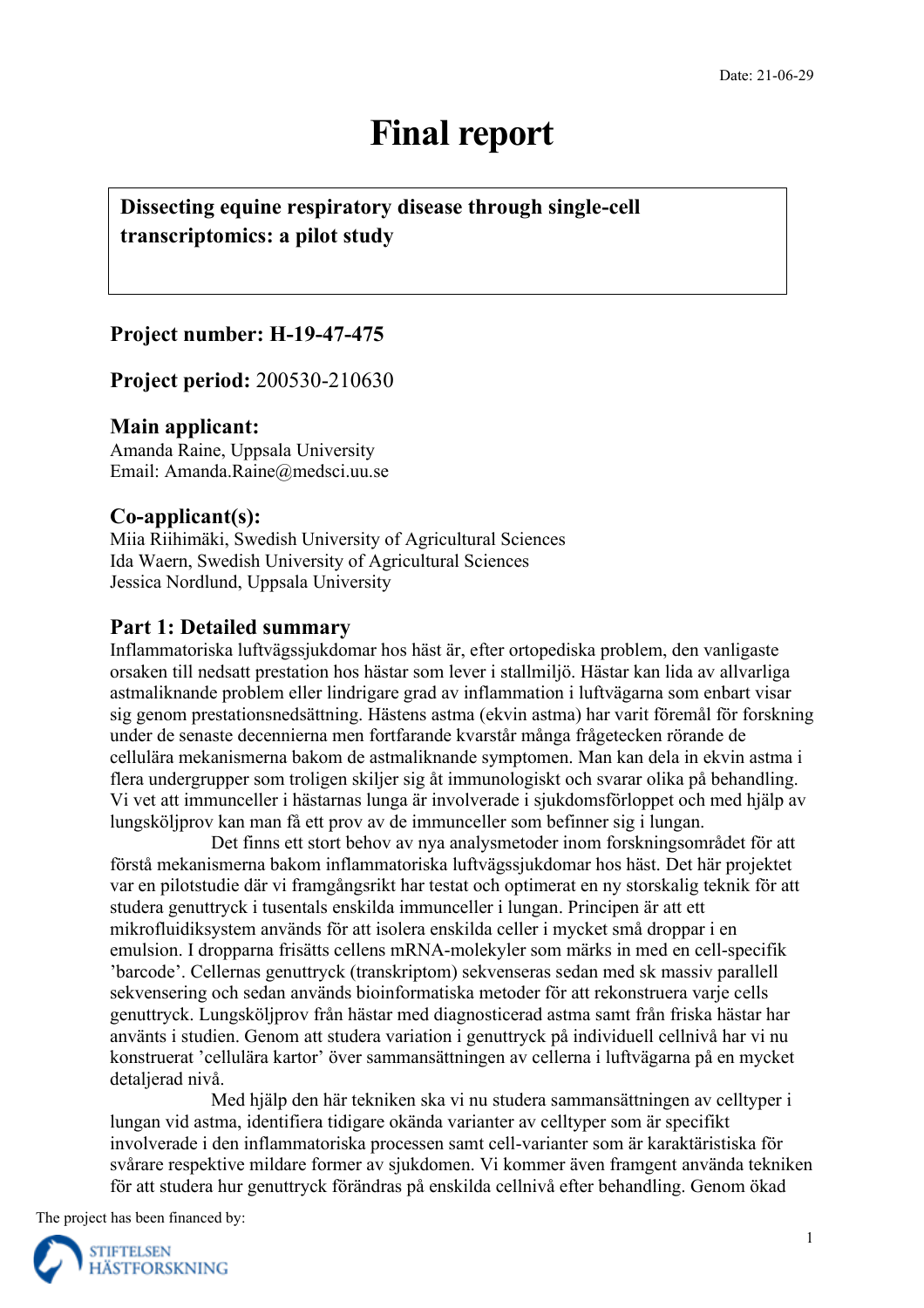# **Final report**

**Dissecting equine respiratory disease through single-cell transcriptomics: a pilot study**

## **Project number: H-19-47-475**

**Project period:** 200530-210630

## **Main applicant:**

Amanda Raine, Uppsala University Email: Amanda.Raine@medsci.uu.se

## **Co-applicant(s):**

Miia Riihimäki, Swedish University of Agricultural Sciences Ida Waern, Swedish University of Agricultural Sciences Jessica Nordlund, Uppsala University

## **Part 1: Detailed summary**

Inflammatoriska luftvägssjukdomar hos häst är, efter ortopediska problem, den vanligaste orsaken till nedsatt prestation hos hästar som lever i stallmiljö. Hästar kan lida av allvarliga astmaliknande problem eller lindrigare grad av inflammation i luftvägarna som enbart visar sig genom prestationsnedsättning. Hästens astma (ekvin astma) har varit föremål för forskning under de senaste decennierna men fortfarande kvarstår många frågetecken rörande de cellulära mekanismerna bakom de astmaliknande symptomen. Man kan dela in ekvin astma i flera undergrupper som troligen skiljer sig åt immunologiskt och svarar olika på behandling. Vi vet att immunceller i hästarnas lunga är involverade i sjukdomsförloppet och med hjälp av lungsköljprov kan man få ett prov av de immunceller som befinner sig i lungan.

Det finns ett stort behov av nya analysmetoder inom forskningsområdet för att förstå mekanismerna bakom inflammatoriska luftvägssjukdomar hos häst. Det här projektet var en pilotstudie där vi framgångsrikt har testat och optimerat en ny storskalig teknik för att studera genuttryck i tusentals enskilda immunceller i lungan. Principen är att ett mikrofluidiksystem används för att isolera enskilda celler i mycket små droppar i en emulsion. I dropparna frisätts cellens mRNA-molekyler som märks in med en cell-specifik 'barcode'. Cellernas genuttryck (transkriptom) sekvenseras sedan med sk massiv parallell sekvensering och sedan används bioinformatiska metoder för att rekonstruera varje cells genuttryck. Lungsköljprov från hästar med diagnosticerad astma samt från friska hästar har använts i studien. Genom att studera variation i genuttryck på individuell cellnivå har vi nu konstruerat 'cellulära kartor' över sammansättningen av cellerna i luftvägarna på en mycket detaljerad nivå.

Med hjälp den här tekniken ska vi nu studera sammansättningen av celltyper i lungan vid astma, identifiera tidigare okända varianter av celltyper som är specifikt involverade i den inflammatoriska processen samt cell-varianter som är karaktäristiska för svårare respektive mildare former av sjukdomen. Vi kommer även framgent använda tekniken för att studera hur genuttryck förändras på enskilda cellnivå efter behandling. Genom ökad

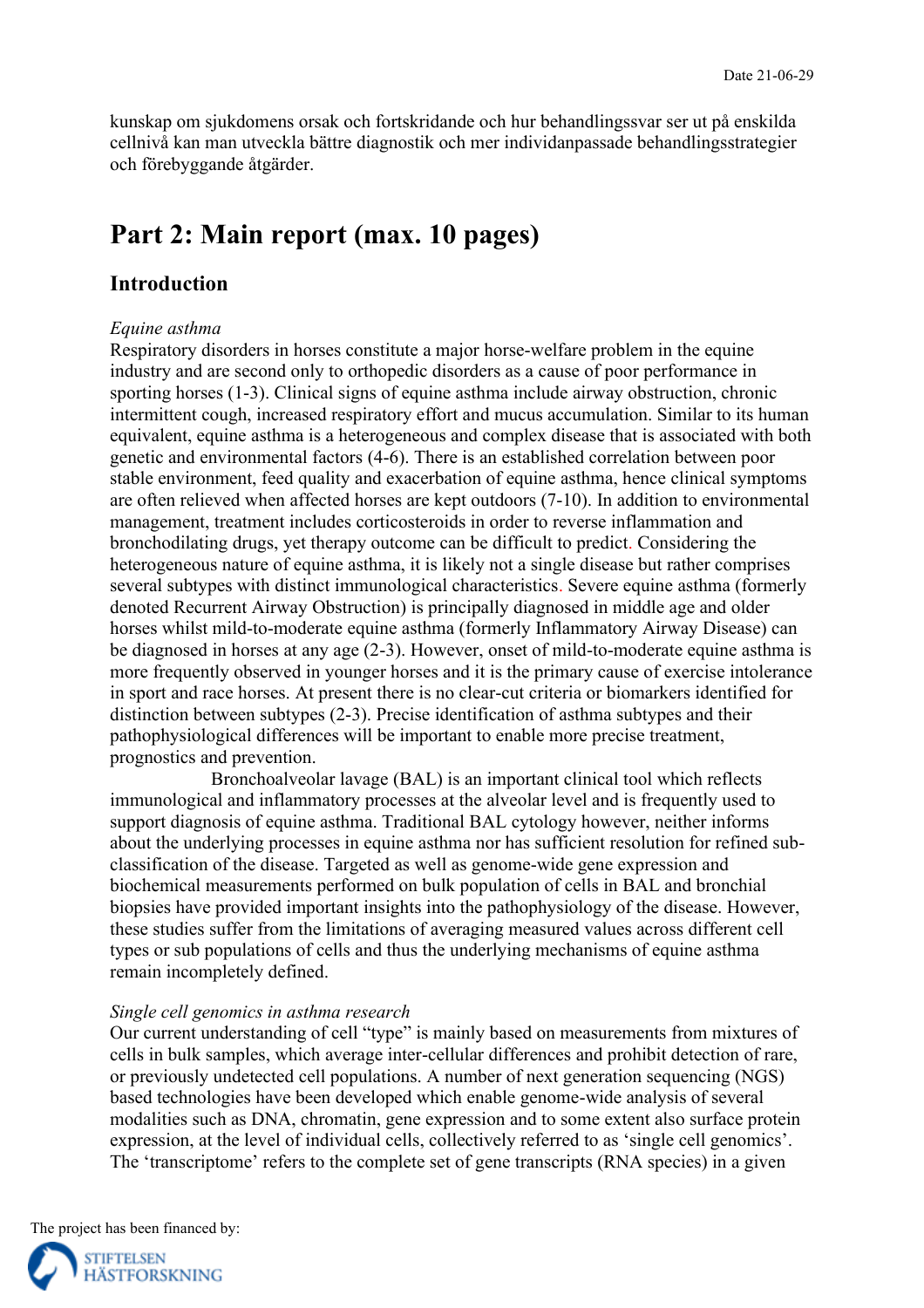kunskap om sjukdomens orsak och fortskridande och hur behandlingssvar ser ut på enskilda cellnivå kan man utveckla bättre diagnostik och mer individanpassade behandlingsstrategier och förebyggande åtgärder.

## **Part 2: Main report (max. 10 pages)**

## **Introduction**

### *Equine asthma*

Respiratory disorders in horses constitute a major horse-welfare problem in the equine industry and are second only to orthopedic disorders as a cause of poor performance in sporting horses (1-3). Clinical signs of equine asthma include airway obstruction, chronic intermittent cough, increased respiratory effort and mucus accumulation. Similar to its human equivalent, equine asthma is a heterogeneous and complex disease that is associated with both genetic and environmental factors (4-6). There is an established correlation between poor stable environment, feed quality and exacerbation of equine asthma, hence clinical symptoms are often relieved when affected horses are kept outdoors (7-10). In addition to environmental management, treatment includes corticosteroids in order to reverse inflammation and bronchodilating drugs, yet therapy outcome can be difficult to predict. Considering the heterogeneous nature of equine asthma, it is likely not a single disease but rather comprises several subtypes with distinct immunological characteristics. Severe equine asthma (formerly denoted Recurrent Airway Obstruction) is principally diagnosed in middle age and older horses whilst mild-to-moderate equine asthma (formerly Inflammatory Airway Disease) can be diagnosed in horses at any age (2-3). However, onset of mild-to-moderate equine asthma is more frequently observed in younger horses and it is the primary cause of exercise intolerance in sport and race horses. At present there is no clear-cut criteria or biomarkers identified for distinction between subtypes (2-3). Precise identification of asthma subtypes and their pathophysiological differences will be important to enable more precise treatment, prognostics and prevention.

Bronchoalveolar lavage (BAL) is an important clinical tool which reflects immunological and inflammatory processes at the alveolar level and is frequently used to support diagnosis of equine asthma. Traditional BAL cytology however, neither informs about the underlying processes in equine asthma nor has sufficient resolution for refined subclassification of the disease. Targeted as well as genome-wide gene expression and biochemical measurements performed on bulk population of cells in BAL and bronchial biopsies have provided important insights into the pathophysiology of the disease. However, these studies suffer from the limitations of averaging measured values across different cell types or sub populations of cells and thus the underlying mechanisms of equine asthma remain incompletely defined.

#### *Single cell genomics in asthma research*

Our current understanding of cell "type" is mainly based on measurements from mixtures of cells in bulk samples, which average inter-cellular differences and prohibit detection of rare, or previously undetected cell populations. A number of next generation sequencing (NGS) based technologies have been developed which enable genome-wide analysis of several modalities such as DNA, chromatin, gene expression and to some extent also surface protein expression, at the level of individual cells, collectively referred to as 'single cell genomics'. The 'transcriptome' refers to the complete set of gene transcripts (RNA species) in a given

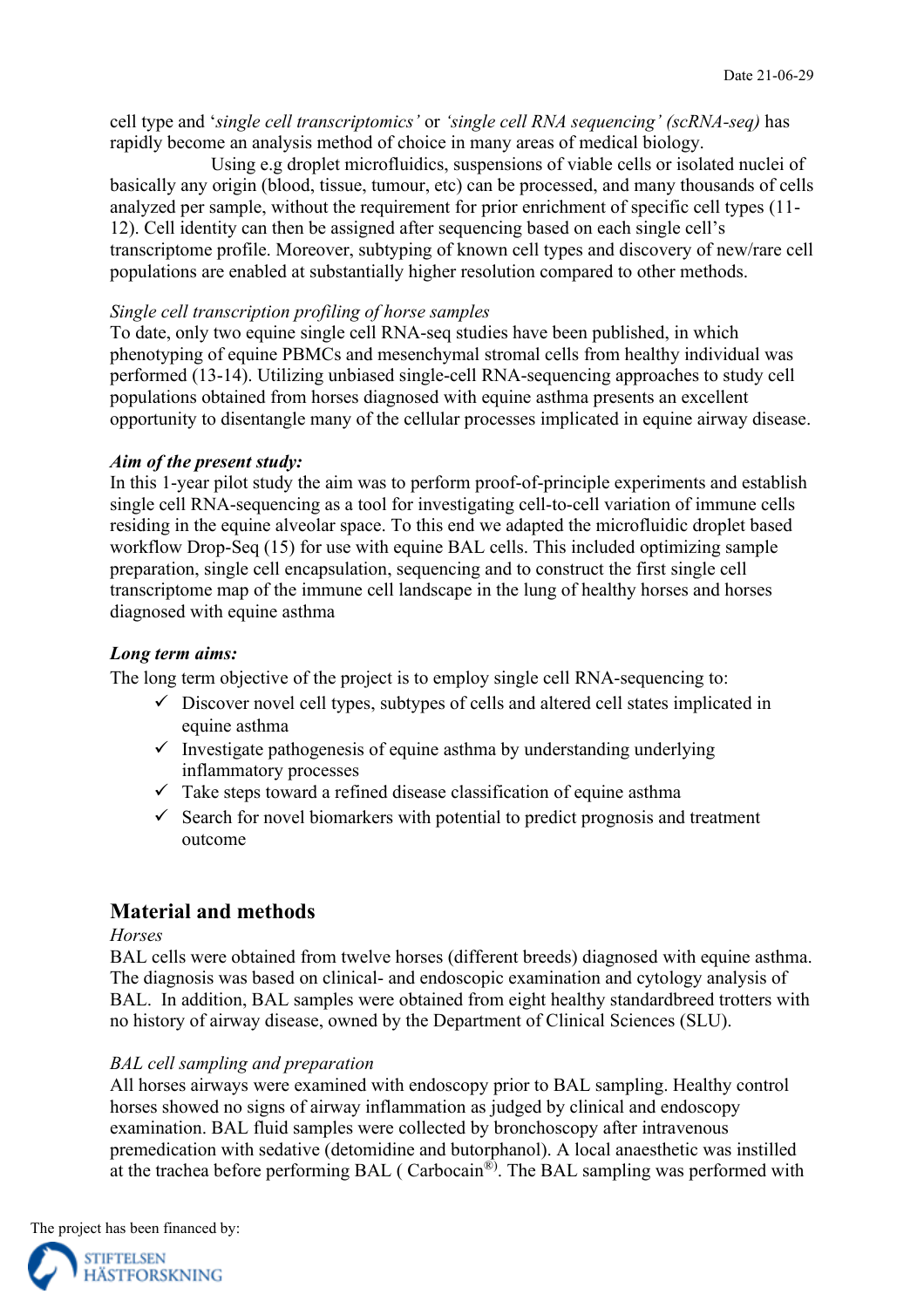cell type and '*single cell transcriptomics'* or *'single cell RNA sequencing' (scRNA-seq)* has rapidly become an analysis method of choice in many areas of medical biology.

Using e.g droplet microfluidics, suspensions of viable cells or isolated nuclei of basically any origin (blood, tissue, tumour, etc) can be processed, and many thousands of cells analyzed per sample, without the requirement for prior enrichment of specific cell types (11- 12). Cell identity can then be assigned after sequencing based on each single cell's transcriptome profile. Moreover, subtyping of known cell types and discovery of new/rare cell populations are enabled at substantially higher resolution compared to other methods.

#### *Single cell transcription profiling of horse samples*

To date, only two equine single cell RNA-seq studies have been published, in which phenotyping of equine PBMCs and mesenchymal stromal cells from healthy individual was performed (13-14). Utilizing unbiased single-cell RNA-sequencing approaches to study cell populations obtained from horses diagnosed with equine asthma presents an excellent opportunity to disentangle many of the cellular processes implicated in equine airway disease.

#### *Aim of the present study:*

In this 1-year pilot study the aim was to perform proof-of-principle experiments and establish single cell RNA-sequencing as a tool for investigating cell-to-cell variation of immune cells residing in the equine alveolar space. To this end we adapted the microfluidic droplet based workflow Drop-Seq (15) for use with equine BAL cells. This included optimizing sample preparation, single cell encapsulation, sequencing and to construct the first single cell transcriptome map of the immune cell landscape in the lung of healthy horses and horses diagnosed with equine asthma

#### *Long term aims:*

The long term objective of the project is to employ single cell RNA-sequencing to:

- $\checkmark$  Discover novel cell types, subtypes of cells and altered cell states implicated in equine asthma
- $\checkmark$  Investigate pathogenesis of equine asthma by understanding underlying inflammatory processes
- $\checkmark$  Take steps toward a refined disease classification of equine asthma
- $\checkmark$  Search for novel biomarkers with potential to predict prognosis and treatment outcome

## **Material and methods**

#### *Horses*

BAL cells were obtained from twelve horses (different breeds) diagnosed with equine asthma. The diagnosis was based on clinical- and endoscopic examination and cytology analysis of BAL. In addition, BAL samples were obtained from eight healthy standardbreed trotters with no history of airway disease, owned by the Department of Clinical Sciences (SLU).

#### *BAL cell sampling and preparation*

All horses airways were examined with endoscopy prior to BAL sampling. Healthy control horses showed no signs of airway inflammation as judged by clinical and endoscopy examination. BAL fluid samples were collected by bronchoscopy after intravenous premedication with sedative (detomidine and butorphanol). A local anaesthetic was instilled at the trachea before performing BAL (Carbocain<sup>®)</sup>. The BAL sampling was performed with

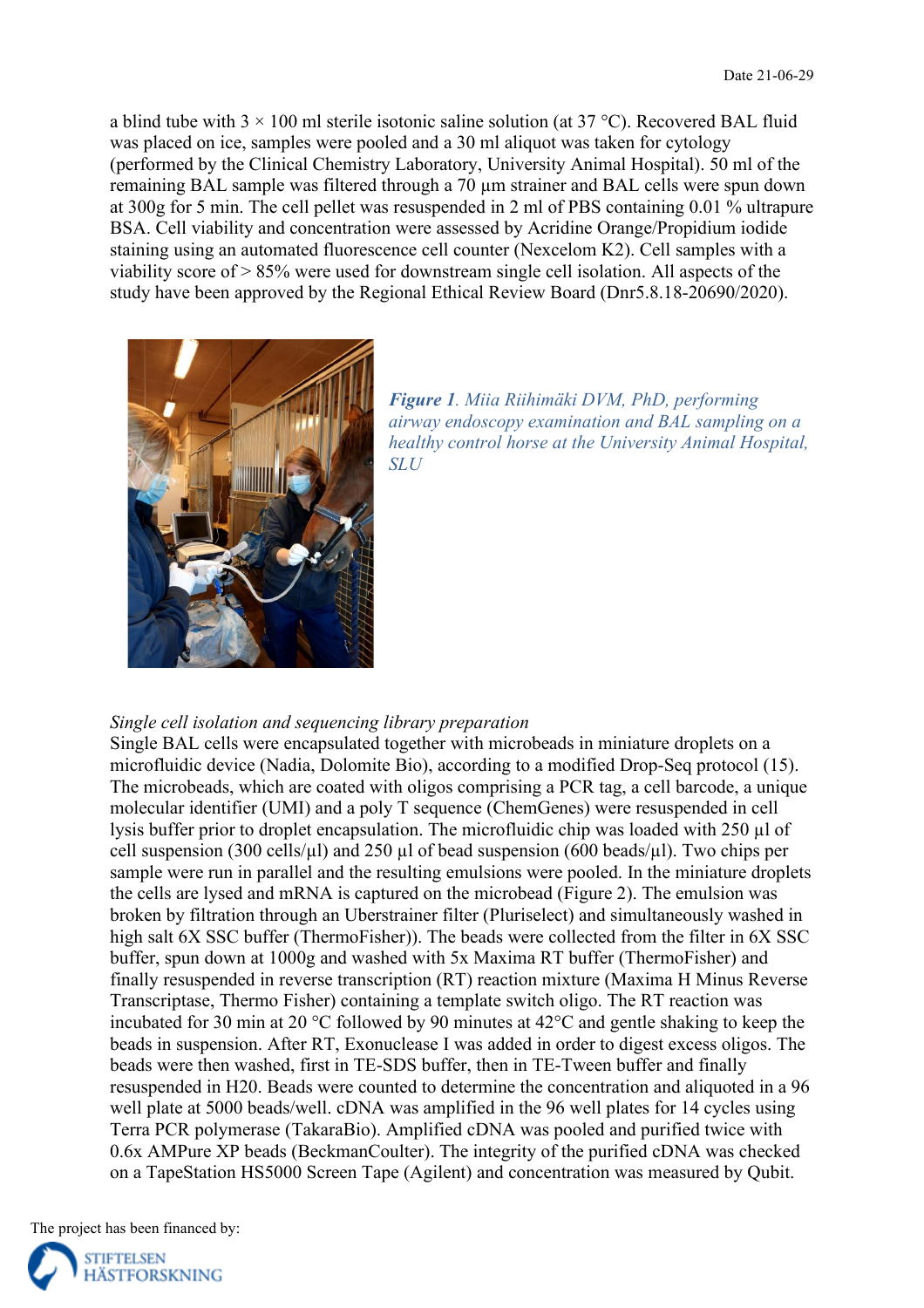a blind tube with  $3 \times 100$  ml sterile isotonic saline solution (at 37 °C). Recovered BAL fluid was placed on ice, samples were pooled and a 30 ml aliquot was taken for cytology (performed by the Clinical Chemistry Laboratory, University Animal Hospital). 50 ml of the remaining BAL sample was filtered through a 70 µm strainer and BAL cells were spun down at 300g for 5 min. The cell pellet was resuspended in 2 ml of PBS containing 0.01 % ultrapure BSA. Cell viability and concentration were assessed by Acridine Orange/Propidium iodide staining using an automated fluorescence cell counter (Nexcelom K2). Cell samples with a viability score of > 85% were used for downstream single cell isolation. All aspects of the study have been approved by the Regional Ethical Review Board (Dnr5.8.18-20690/2020).





#### *Single cell isolation and sequencing library preparation*

Single BAL cells were encapsulated together with microbeads in miniature droplets on a microfluidic device (Nadia, Dolomite Bio), according to a modified Drop-Seq protocol (15). The microbeads, which are coated with oligos comprising a PCR tag, a cell barcode, a unique molecular identifier (UMI) and a poly T sequence (ChemGenes) were resuspended in cell lysis buffer prior to droplet encapsulation. The microfluidic chip was loaded with 250 µl of cell suspension (300 cells/ $\mu$ l) and 250  $\mu$ l of bead suspension (600 beads/ $\mu$ l). Two chips per sample were run in parallel and the resulting emulsions were pooled. In the miniature droplets the cells are lysed and mRNA is captured on the microbead (Figure 2). The emulsion was broken by filtration through an Uberstrainer filter (Pluriselect) and simultaneously washed in high salt 6X SSC buffer (ThermoFisher)). The beads were collected from the filter in 6X SSC buffer, spun down at 1000g and washed with 5x Maxima RT buffer (ThermoFisher) and finally resuspended in reverse transcription (RT) reaction mixture (Maxima H Minus Reverse Transcriptase, Thermo Fisher) containing a template switch oligo. The RT reaction was incubated for 30 min at 20 °C followed by 90 minutes at 42°C and gentle shaking to keep the beads in suspension. After RT, Exonuclease I was added in order to digest excess oligos. The beads were then washed, first in TE-SDS buffer, then in TE-Tween buffer and finally resuspended in H20. Beads were counted to determine the concentration and aliquoted in a 96 well plate at 5000 beads/well. cDNA was amplified in the 96 well plates for 14 cycles using Terra PCR polymerase (TakaraBio). Amplified cDNA was pooled and purified twice with 0.6x AMPure XP beads (BeckmanCoulter). The integrity of the purified cDNA was checked on a TapeStation HS5000 Screen Tape (Agilent) and concentration was measured by Qubit.

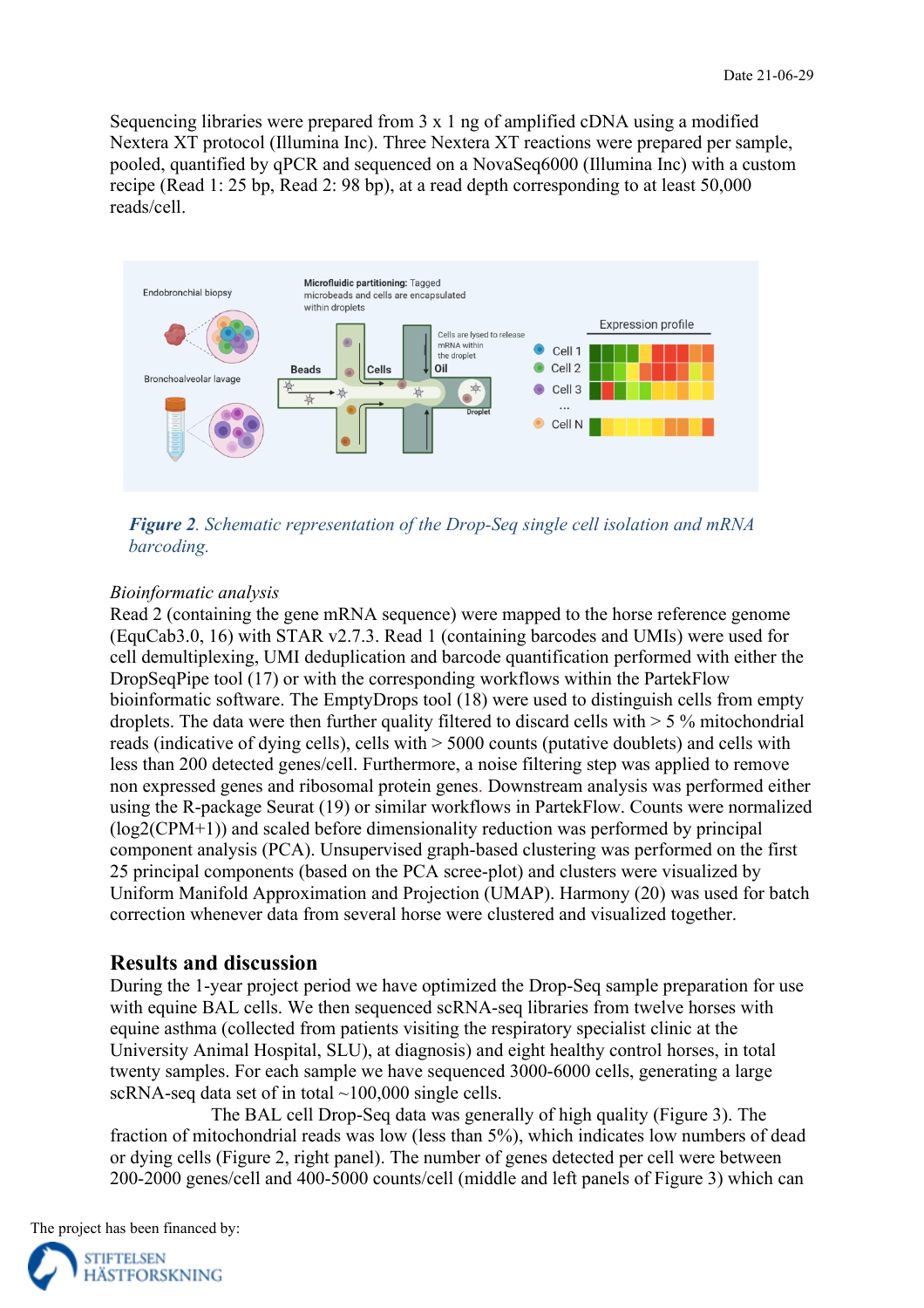Sequencing libraries were prepared from 3 x 1 ng of amplified cDNA using a modified Nextera XT protocol (Illumina Inc). Three Nextera XT reactions were prepared per sample, pooled, quantified by qPCR and sequenced on a NovaSeq6000 (Illumina Inc) with a custom recipe (Read 1: 25 bp, Read 2: 98 bp), at a read depth corresponding to at least 50,000 reads/cell.



*Figure 2. Schematic representation of the Drop-Seq single cell isolation and mRNA barcoding.*

#### *Bioinformatic analysis*

Read 2 (containing the gene mRNA sequence) were mapped to the horse reference genome (EquCab3.0, 16) with STAR v2.7.3. Read 1 (containing barcodes and UMIs) were used for cell demultiplexing, UMI deduplication and barcode quantification performed with either the DropSeqPipe tool (17) or with the corresponding workflows within the PartekFlow bioinformatic software. The EmptyDrops tool (18) were used to distinguish cells from empty droplets. The data were then further quality filtered to discard cells with > 5 % mitochondrial reads (indicative of dying cells), cells with > 5000 counts (putative doublets) and cells with less than 200 detected genes/cell. Furthermore, a noise filtering step was applied to remove non expressed genes and ribosomal protein genes. Downstream analysis was performed either using the R-package Seurat (19) or similar workflows in PartekFlow. Counts were normalized (log2(CPM+1)) and scaled before dimensionality reduction was performed by principal component analysis (PCA). Unsupervised graph-based clustering was performed on the first 25 principal components (based on the PCA scree-plot) and clusters were visualized by Uniform Manifold Approximation and Projection (UMAP). Harmony (20) was used for batch correction whenever data from several horse were clustered and visualized together.

## **Results and discussion**

During the 1-year project period we have optimized the Drop-Seq sample preparation for use with equine BAL cells. We then sequenced scRNA-seq libraries from twelve horses with equine asthma (collected from patients visiting the respiratory specialist clinic at the University Animal Hospital, SLU), at diagnosis) and eight healthy control horses, in total twenty samples. For each sample we have sequenced 3000-6000 cells, generating a large scRNA-seq data set of in total  $\sim$ 100,000 single cells.

The BAL cell Drop-Seq data was generally of high quality (Figure 3). The fraction of mitochondrial reads was low (less than 5%), which indicates low numbers of dead or dying cells (Figure 2, right panel). The number of genes detected per cell were between 200-2000 genes/cell and 400-5000 counts/cell (middle and left panels of Figure 3) which can

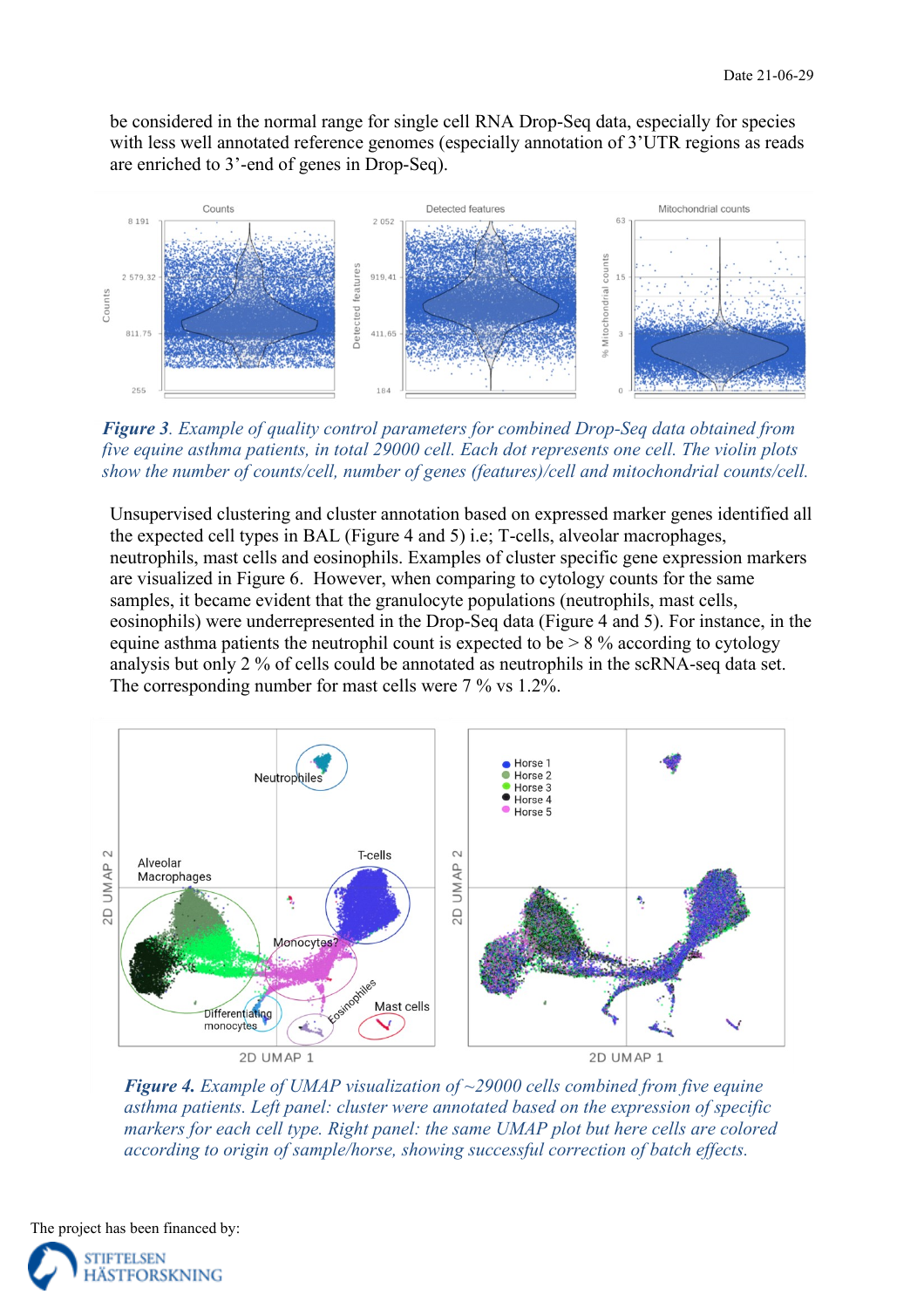be considered in the normal range for single cell RNA Drop-Seq data, especially for species with less well annotated reference genomes (especially annotation of 3'UTR regions as reads are enriched to 3'-end of genes in Drop-Seq).



*Figure 3. Example of quality control parameters for combined Drop-Seq data obtained from five equine asthma patients, in total 29000 cell. Each dot represents one cell. The violin plots show the number of counts/cell, number of genes (features)/cell and mitochondrial counts/cell.* 

Unsupervised clustering and cluster annotation based on expressed marker genes identified all the expected cell types in BAL (Figure 4 and 5) i.e; T-cells, alveolar macrophages, neutrophils, mast cells and eosinophils. Examples of cluster specific gene expression markers are visualized in Figure 6. However, when comparing to cytology counts for the same samples, it became evident that the granulocyte populations (neutrophils, mast cells, eosinophils) were underrepresented in the Drop-Seq data (Figure 4 and 5). For instance, in the equine asthma patients the neutrophil count is expected to be  $> 8\%$  according to cytology analysis but only 2 % of cells could be annotated as neutrophils in the scRNA-seq data set. The corresponding number for mast cells were 7 % vs 1.2%.



*Figure 4. Example of UMAP visualization of ~29000 cells combined from five equine asthma patients. Left panel: cluster were annotated based on the expression of specific markers for each cell type. Right panel: the same UMAP plot but here cells are colored according to origin of sample/horse, showing successful correction of batch effects.*

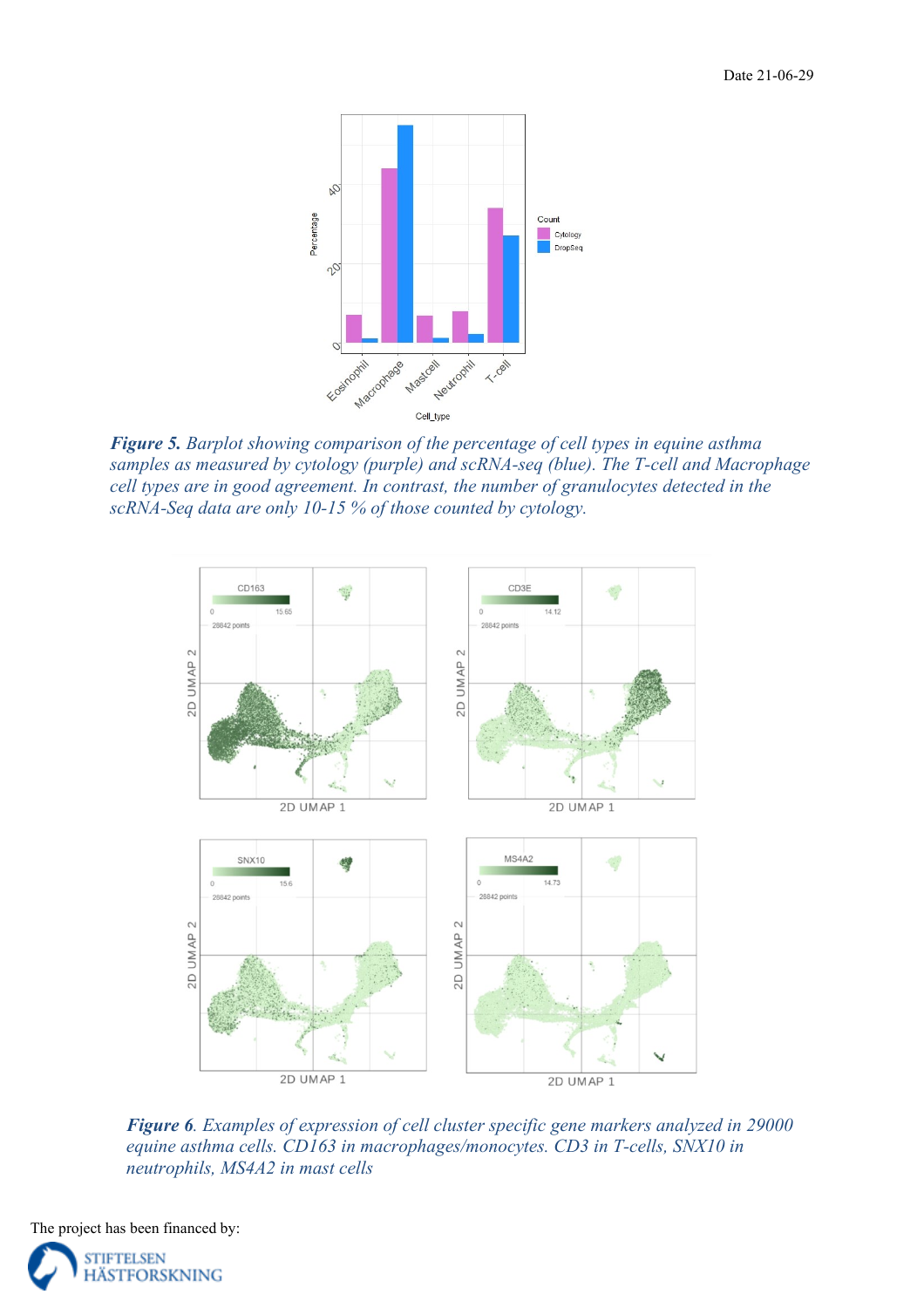

*Figure 5. Barplot showing comparison of the percentage of cell types in equine asthma samples as measured by cytology (purple) and scRNA-seq (blue). The T-cell and Macrophage cell types are in good agreement. In contrast, the number of granulocytes detected in the scRNA-Seq data are only 10-15 % of those counted by cytology.*



*Figure 6. Examples of expression of cell cluster specific gene markers analyzed in 29000 equine asthma cells. CD163 in macrophages/monocytes. CD3 in T-cells, SNX10 in neutrophils, MS4A2 in mast cells*



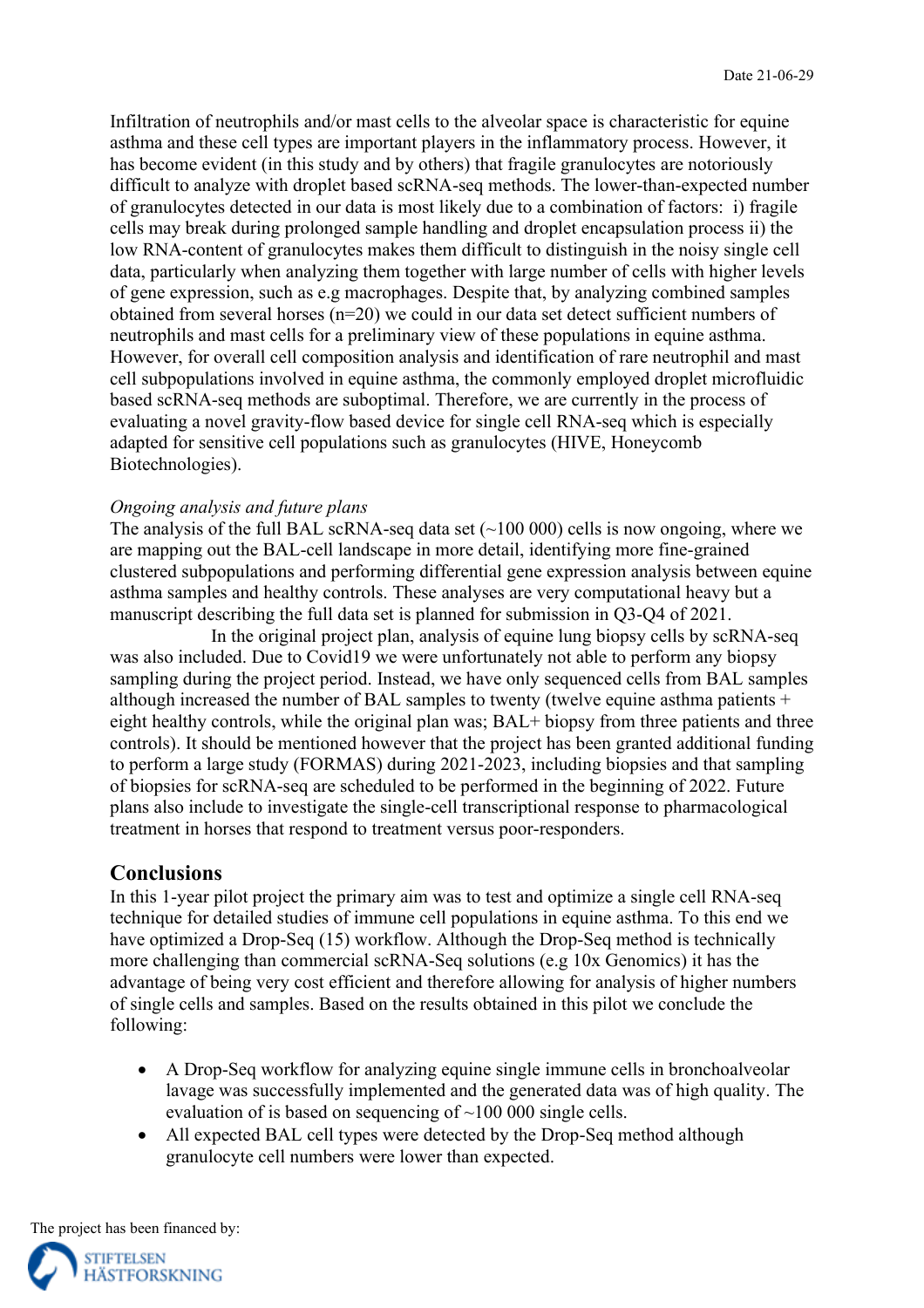Infiltration of neutrophils and/or mast cells to the alveolar space is characteristic for equine asthma and these cell types are important players in the inflammatory process. However, it has become evident (in this study and by others) that fragile granulocytes are notoriously difficult to analyze with droplet based scRNA-seq methods. The lower-than-expected number of granulocytes detected in our data is most likely due to a combination of factors: i) fragile cells may break during prolonged sample handling and droplet encapsulation process ii) the low RNA-content of granulocytes makes them difficult to distinguish in the noisy single cell data, particularly when analyzing them together with large number of cells with higher levels of gene expression, such as e.g macrophages. Despite that, by analyzing combined samples obtained from several horses (n=20) we could in our data set detect sufficient numbers of neutrophils and mast cells for a preliminary view of these populations in equine asthma. However, for overall cell composition analysis and identification of rare neutrophil and mast cell subpopulations involved in equine asthma, the commonly employed droplet microfluidic based scRNA-seq methods are suboptimal. Therefore, we are currently in the process of evaluating a novel gravity-flow based device for single cell RNA-seq which is especially adapted for sensitive cell populations such as granulocytes (HIVE, Honeycomb Biotechnologies).

#### *Ongoing analysis and future plans*

The analysis of the full BAL scRNA-seq data set  $(\sim 100 000)$  cells is now ongoing, where we are mapping out the BAL-cell landscape in more detail, identifying more fine-grained clustered subpopulations and performing differential gene expression analysis between equine asthma samples and healthy controls. These analyses are very computational heavy but a manuscript describing the full data set is planned for submission in Q3-Q4 of 2021.

In the original project plan, analysis of equine lung biopsy cells by scRNA-seq was also included. Due to Covid19 we were unfortunately not able to perform any biopsy sampling during the project period. Instead, we have only sequenced cells from BAL samples although increased the number of BAL samples to twenty (twelve equine asthma patients + eight healthy controls, while the original plan was; BAL+ biopsy from three patients and three controls). It should be mentioned however that the project has been granted additional funding to perform a large study (FORMAS) during 2021-2023, including biopsies and that sampling of biopsies for scRNA-seq are scheduled to be performed in the beginning of 2022. Future plans also include to investigate the single-cell transcriptional response to pharmacological treatment in horses that respond to treatment versus poor-responders.

#### **Conclusions**

In this 1-year pilot project the primary aim was to test and optimize a single cell RNA-seq technique for detailed studies of immune cell populations in equine asthma. To this end we have optimized a Drop-Seq (15) workflow. Although the Drop-Seq method is technically more challenging than commercial scRNA-Seq solutions (e.g 10x Genomics) it has the advantage of being very cost efficient and therefore allowing for analysis of higher numbers of single cells and samples. Based on the results obtained in this pilot we conclude the following:

- A Drop-Seq workflow for analyzing equine single immune cells in bronchoalveolar lavage was successfully implemented and the generated data was of high quality. The evaluation of is based on sequencing of  $~100~000$  single cells.
- All expected BAL cell types were detected by the Drop-Seq method although granulocyte cell numbers were lower than expected.

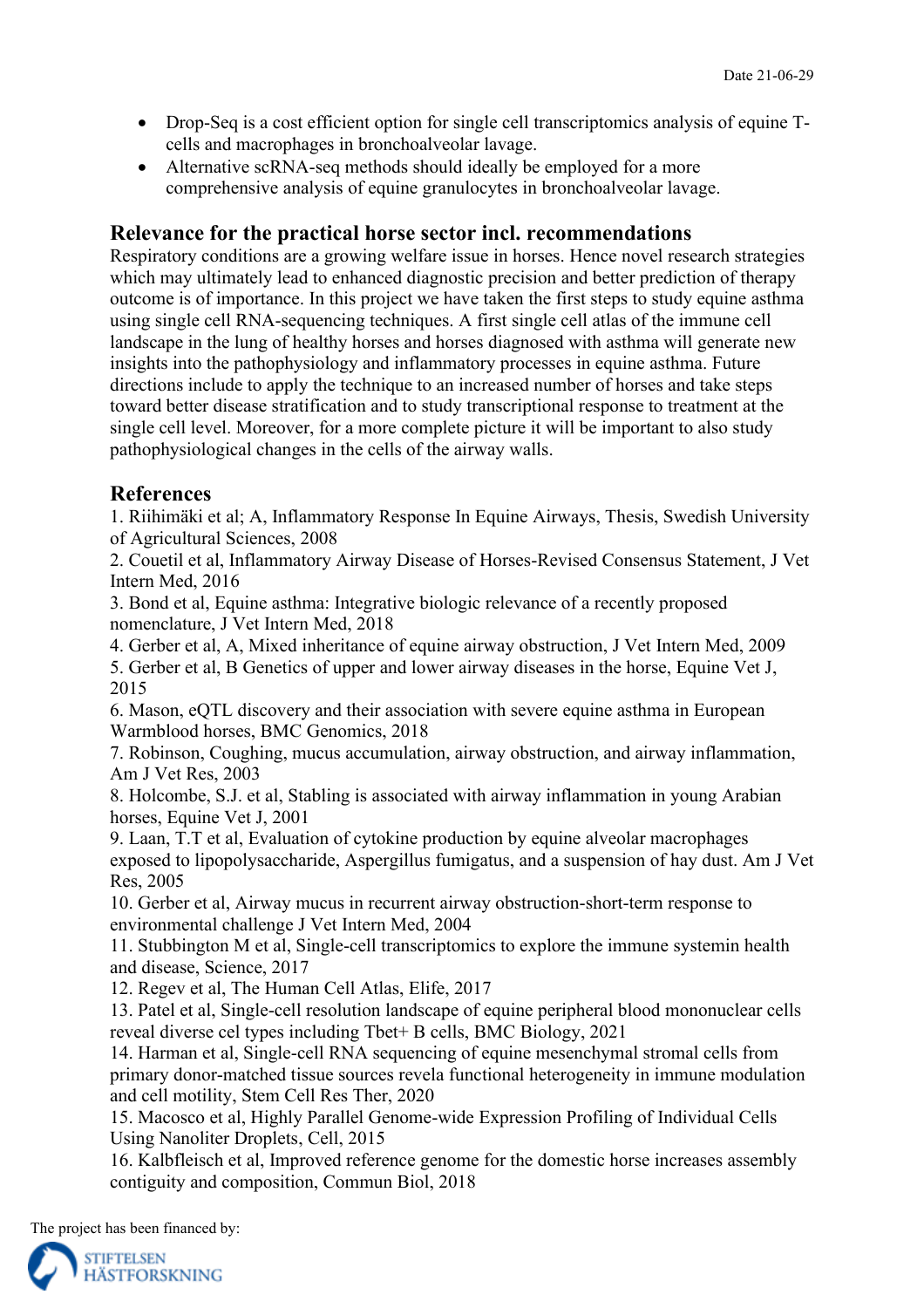- Drop-Seq is a cost efficient option for single cell transcriptomics analysis of equine Tcells and macrophages in bronchoalveolar lavage.
- Alternative scRNA-seq methods should ideally be employed for a more comprehensive analysis of equine granulocytes in bronchoalveolar lavage.

## **Relevance for the practical horse sector incl. recommendations**

Respiratory conditions are a growing welfare issue in horses. Hence novel research strategies which may ultimately lead to enhanced diagnostic precision and better prediction of therapy outcome is of importance. In this project we have taken the first steps to study equine asthma using single cell RNA-sequencing techniques. A first single cell atlas of the immune cell landscape in the lung of healthy horses and horses diagnosed with asthma will generate new insights into the pathophysiology and inflammatory processes in equine asthma. Future directions include to apply the technique to an increased number of horses and take steps toward better disease stratification and to study transcriptional response to treatment at the single cell level. Moreover, for a more complete picture it will be important to also study pathophysiological changes in the cells of the airway walls.

## **References**

1. Riihimäki et al; A, Inflammatory Response In Equine Airways, Thesis, Swedish University of Agricultural Sciences, 2008

2. Couetil et al, Inflammatory Airway Disease of Horses-Revised Consensus Statement, J Vet Intern Med, 2016

3. Bond et al, Equine asthma: Integrative biologic relevance of a recently proposed nomenclature, J Vet Intern Med, 2018

4. Gerber et al, A, Mixed inheritance of equine airway obstruction, J Vet Intern Med, 2009

5. Gerber et al, B Genetics of upper and lower airway diseases in the horse, Equine Vet J, 2015

6. Mason, eQTL discovery and their association with severe equine asthma in European Warmblood horses, BMC Genomics, 2018

7. Robinson, Coughing, mucus accumulation, airway obstruction, and airway inflammation, Am J Vet Res, 2003

8. Holcombe, S.J. et al, Stabling is associated with airway inflammation in young Arabian horses, Equine Vet J, 2001

9. Laan, T.T et al, Evaluation of cytokine production by equine alveolar macrophages exposed to lipopolysaccharide, Aspergillus fumigatus, and a suspension of hay dust. Am J Vet Res, 2005

10. Gerber et al, Airway mucus in recurrent airway obstruction-short-term response to environmental challenge J Vet Intern Med, 2004

11. Stubbington M et al, Single-cell transcriptomics to explore the immune systemin health and disease, Science, 2017

12. Regev et al, The Human Cell Atlas, Elife, 2017

13. Patel et al, Single-cell resolution landscape of equine peripheral blood mononuclear cells reveal diverse cel types including Tbet+ B cells, BMC Biology, 2021

14. Harman et al, Single-cell RNA sequencing of equine mesenchymal stromal cells from primary donor-matched tissue sources revela functional heterogeneity in immune modulation and cell motility, Stem Cell Res Ther, 2020

15. Macosco et al, Highly Parallel Genome-wide Expression Profiling of Individual Cells Using Nanoliter Droplets, Cell, 2015

16. Kalbfleisch et al, Improved reference genome for the domestic horse increases assembly contiguity and composition, Commun Biol, 2018

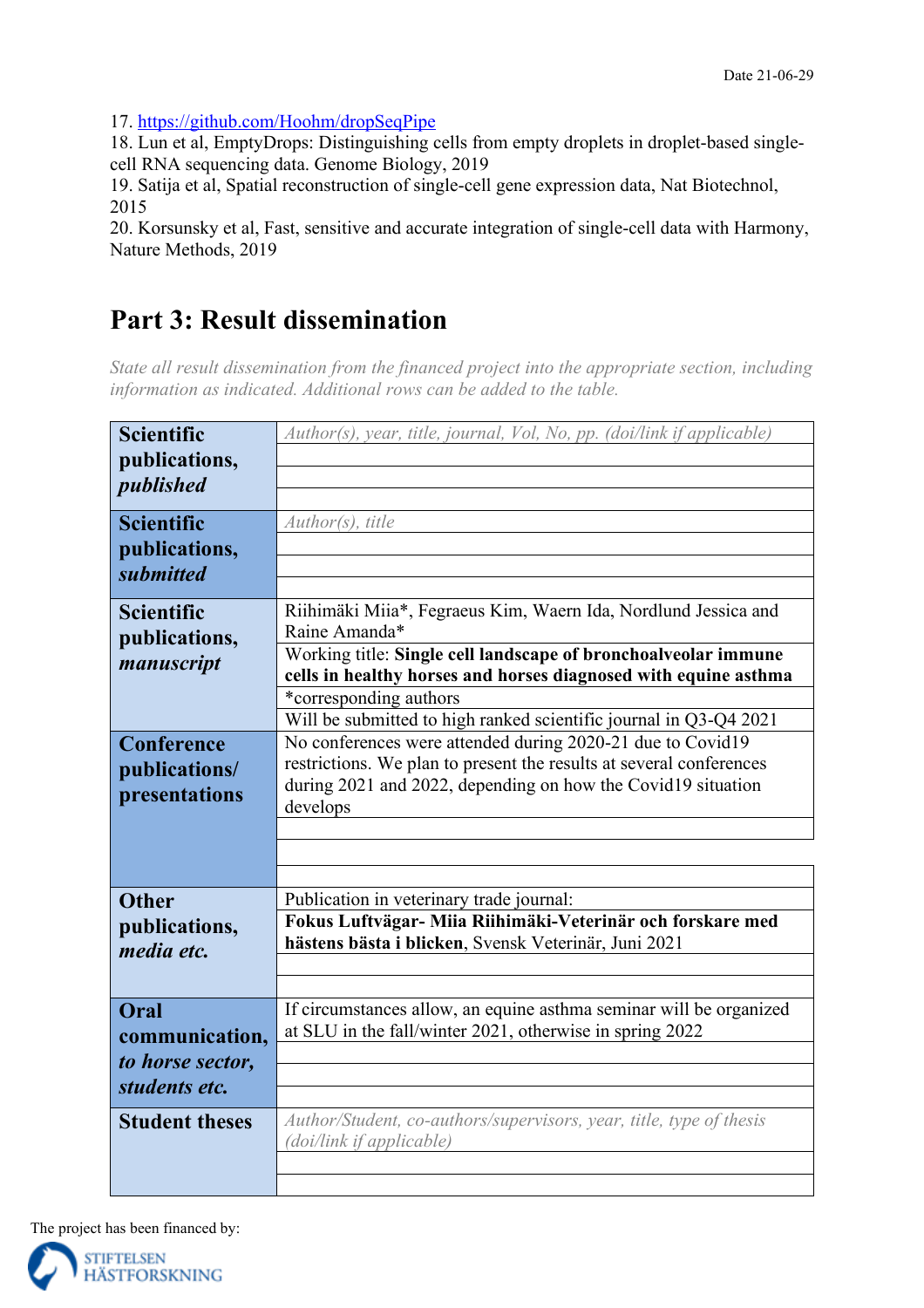17.<https://github.com/Hoohm/dropSeqPipe>

18. Lun et al, EmptyDrops: Distinguishing cells from empty droplets in droplet-based singlecell RNA sequencing data. Genome Biology, 2019

19. Satija et al, Spatial reconstruction of single-cell gene expression data, Nat Biotechnol, 2015

20. Korsunsky et al, Fast, sensitive and accurate integration of single-cell data with Harmony, Nature Methods, 2019

## **Part 3: Result dissemination**

*State all result dissemination from the financed project into the appropriate section, including information as indicated. Additional rows can be added to the table.*

| <b>Scientific</b><br>publications,<br>published             | Author(s), year, title, journal, Vol, No, pp. (doi/link if applicable)                                                                                                                                               |
|-------------------------------------------------------------|----------------------------------------------------------------------------------------------------------------------------------------------------------------------------------------------------------------------|
| <b>Scientific</b><br>publications,<br><i>submitted</i>      | $Author(s)$ , title                                                                                                                                                                                                  |
| <b>Scientific</b><br>publications,<br>manuscript            | Riihimäki Miia*, Fegraeus Kim, Waern Ida, Nordlund Jessica and<br>Raine Amanda*<br>Working title: Single cell landscape of bronchoalveolar immune<br>cells in healthy horses and horses diagnosed with equine asthma |
|                                                             | *corresponding authors<br>Will be submitted to high ranked scientific journal in Q3-Q4 2021                                                                                                                          |
| Conference<br>publications/<br>presentations                | No conferences were attended during 2020-21 due to Covid19<br>restrictions. We plan to present the results at several conferences<br>during 2021 and 2022, depending on how the Covid19 situation<br>develops        |
| <b>Other</b><br>publications,<br>media etc.                 | Publication in veterinary trade journal:<br>Fokus Luftvägar- Miia Riihimäki-Veterinär och forskare med<br>hästens bästa i blicken, Svensk Veterinär, Juni 2021                                                       |
| Oral<br>communication,<br>to horse sector,<br>students etc. | If circumstances allow, an equine asthma seminar will be organized<br>at SLU in the fall/winter 2021, otherwise in spring 2022                                                                                       |
| <b>Student theses</b>                                       | Author/Student, co-authors/supervisors, year, title, type of thesis<br>(doi/link if applicable)                                                                                                                      |